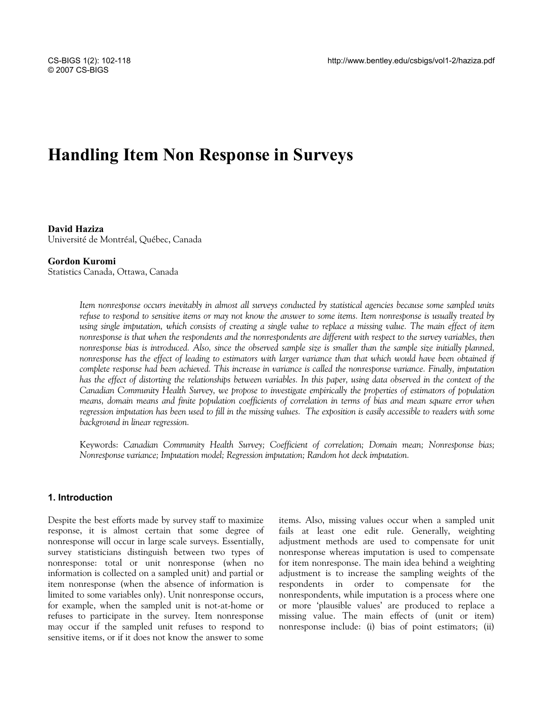# **Handling Item Non Response in Surveys**

**David Haziza**  Université de Montréal, Québec, Canada

#### **Gordon Kuromi**

Statistics Canada, Ottawa, Canada

*Item nonresponse occurs inevitably in almost all surveys conducted by statistical agencies because some sampled units refuse to respond to sensitive items or may not know the answer to some items. Item nonresponse is usually treated by using single imputation, which consists of creating a single value to replace a missing value. The main effect of item nonresponse is that when the respondents and the nonrespondents are different with respect to the survey variables, then nonresponse bias is introduced. Also, since the observed sample size is smaller than the sample size initially planned, nonresponse has the effect of leading to estimators with larger variance than that which would have been obtained if complete response had been achieved. This increase in variance is called the nonresponse variance. Finally, imputation has the effect of distorting the relationships between variables. In this paper, using data observed in the context of the Canadian Community Health Survey, we propose to investigate empirically the properties of estimators of population means, domain means and finite population coefficients of correlation in terms of bias and mean square error when regression imputation has been used to fill in the missing values. The exposition is easily accessible to readers with some background in linear regression.* 

Keywords: *Canadian Community Health Survey; Coefficient of correlation; Domain mean; Nonresponse bias; Nonresponse variance; Imputation model; Regression imputation; Random hot deck imputation.* 

## **1. Introduction**

Despite the best efforts made by survey staff to maximize response, it is almost certain that some degree of nonresponse will occur in large scale surveys. Essentially, survey statisticians distinguish between two types of nonresponse: total or unit nonresponse (when no information is collected on a sampled unit) and partial or item nonresponse (when the absence of information is limited to some variables only). Unit nonresponse occurs, for example, when the sampled unit is not-at-home or refuses to participate in the survey. Item nonresponse may occur if the sampled unit refuses to respond to sensitive items, or if it does not know the answer to some

items. Also, missing values occur when a sampled unit fails at least one edit rule. Generally, weighting adjustment methods are used to compensate for unit nonresponse whereas imputation is used to compensate for item nonresponse. The main idea behind a weighting adjustment is to increase the sampling weights of the respondents in order to compensate for the nonrespondents, while imputation is a process where one or more 'plausible values' are produced to replace a missing value. The main effects of (unit or item) nonresponse include: (i) bias of point estimators; (ii)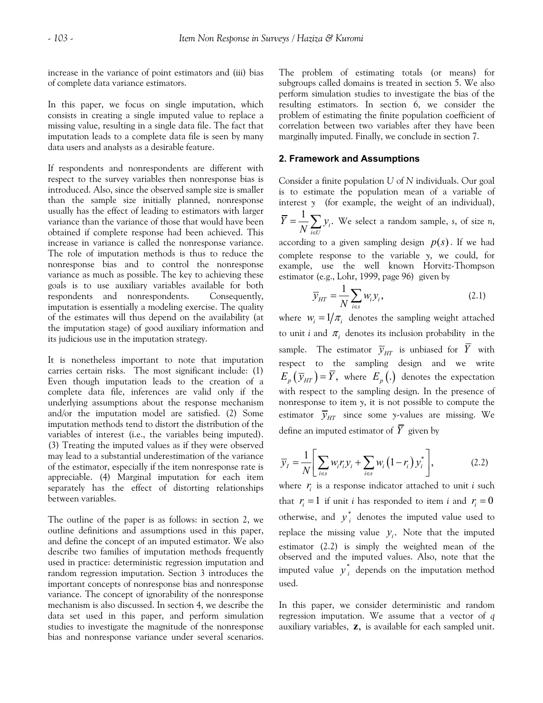increase in the variance of point estimators and (iii) bias of complete data variance estimators.

In this paper, we focus on single imputation, which consists in creating a single imputed value to replace a missing value, resulting in a single data file. The fact that imputation leads to a complete data file is seen by many data users and analysts as a desirable feature.

If respondents and nonrespondents are different with respect to the survey variables then nonresponse bias is introduced. Also, since the observed sample size is smaller than the sample size initially planned, nonresponse usually has the effect of leading to estimators with larger variance than the variance of those that would have been obtained if complete response had been achieved. This increase in variance is called the nonresponse variance. The role of imputation methods is thus to reduce the nonresponse bias and to control the nonresponse variance as much as possible. The key to achieving these goals is to use auxiliary variables available for both respondents and nonrespondents. Consequently, imputation is essentially a modeling exercise. The quality of the estimates will thus depend on the availability (at the imputation stage) of good auxiliary information and its judicious use in the imputation strategy.

It is nonetheless important to note that imputation carries certain risks. The most significant include: (1) Even though imputation leads to the creation of a complete data file, inferences are valid only if the underlying assumptions about the response mechanism and/or the imputation model are satisfied. (2) Some imputation methods tend to distort the distribution of the variables of interest (i.e., the variables being imputed). (3) Treating the imputed values as if they were observed may lead to a substantial underestimation of the variance of the estimator, especially if the item nonresponse rate is appreciable. (4) Marginal imputation for each item separately has the effect of distorting relationships between variables.

The outline of the paper is as follows: in section 2, we outline definitions and assumptions used in this paper, and define the concept of an imputed estimator. We also describe two families of imputation methods frequently used in practice: deterministic regression imputation and random regression imputation. Section 3 introduces the important concepts of nonresponse bias and nonresponse variance. The concept of ignorability of the nonresponse mechanism is also discussed. In section 4, we describe the data set used in this paper, and perform simulation studies to investigate the magnitude of the nonresponse bias and nonresponse variance under several scenarios. The problem of estimating totals (or means) for subgroups called domains is treated in section 5. We also perform simulation studies to investigate the bias of the resulting estimators. In section 6, we consider the problem of estimating the finite population coefficient of correlation between two variables after they have been marginally imputed. Finally, we conclude in section 7.

#### **2. Framework and Assumptions**

Consider a finite population *U* of *N* individuals. Our goal is to estimate the population mean of a variable of interest *y* (for example, the weight of an individual),

$$
\overline{Y} = \frac{1}{N} \sum_{i \in U} y_i
$$
. We select a random sample, s, of size n,

according to a given sampling design  $p(s)$ . If we had complete response to the variable *y*, we could, for example, use the well known Horvitz-Thompson estimator (e.g., Lohr, 1999, page 96) given by

$$
\overline{y}_{HT} = \frac{1}{N} \sum_{i \in S} w_i y_i, \qquad (2.1)
$$

where  $w_i = 1/\pi_i$  denotes the sampling weight attached to unit *i* and  $\pi$ <sub>*i*</sub> denotes its inclusion probability in the sample. The estimator  $\overline{y}_{HT}$  is unbiased for  $\overline{Y}$  with respect to the sampling design and we write  $E_p(\bar{y}_{HT}) = \bar{Y}$ , where  $E_p(.)$  denotes the expectation with respect to the sampling design. In the presence of nonresponse to item *y*, it is not possible to compute the estimator  $\bar{y}_{HT}$  since some *y*-values are missing. We define an imputed estimator of  $\overline{Y}$  given by

$$
\overline{y}_I = \frac{1}{N} \left[ \sum_{i \in s} w_i r_i y_i + \sum_{i \in s} w_i \left( 1 - r_i \right) y_i^* \right],\tag{2.2}
$$

where  $r_i$  is a response indicator attached to unit *i* such that  $r_i = 1$  if unit *i* has responded to item *i* and  $r_i = 0$ otherwise, and  $y_i^*$  denotes the imputed value used to replace the missing value  $y_i$ . Note that the imputed estimator (2.2) is simply the weighted mean of the observed and the imputed values. Also, note that the imputed value  $y_i^*$  depends on the imputation method used.

In this paper, we consider deterministic and random regression imputation. We assume that a vector of *q* auxiliary variables, **z**, is available for each sampled unit.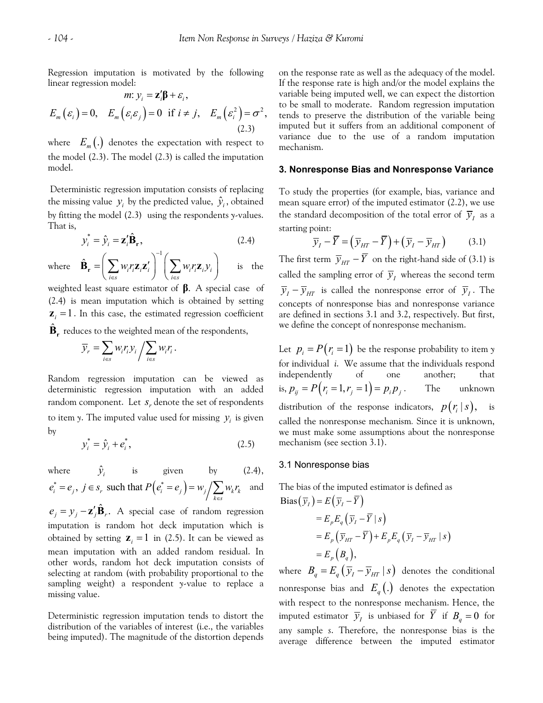Regression imputation is motivated by the following linear regression model: *z* 

$$
m: y_i = \mathbf{z}_i' \mathbf{\beta} + \varepsilon_i,
$$
  
\n
$$
E_m(\varepsilon_i) = 0, \quad E_m(\varepsilon_i \varepsilon_j) = 0 \quad \text{if } i \neq j, \quad E_m(\varepsilon_i^2) = \sigma^2,
$$
  
\n(2.3)

where  $E_m(.)$  denotes the expectation with respect to the model (2.3). The model (2.3) is called the imputation model.

 Deterministic regression imputation consists of replacing the missing value  $y_i$  by the predicted value,  $\hat{y}_i$ , obtained by fitting the model (2.3) using the respondents *y*-values. That is,

$$
y_i^* = \hat{y}_i = \mathbf{z}_i' \hat{\mathbf{B}}_{\mathbf{r}},
$$
 (2.4)

where  $\mathbf{B}_{r} = \int w_{i} r_{i} \mathbf{z}_{i} \mathbf{z}'_{i} + \int w_{i} r_{i} \mathbf{z}_{i} y_{i}$  is the 1  $\hat{\mathbf{B}}_{\mathbf{r}} = \left| \sum w_i r_i \mathbf{z}_i \mathbf{z}_i' \right| \left| \sum w_i r_i \mathbf{z}_i \mathbf{y}_i' \right|$  $i \in s$   $\qquad$   $\qquad$   $\qquad$   $\qquad$   $i \in s$  $w_i r_i \mathbf{z}_i \mathbf{z}'_i \mid \sum w_i r_i \mathbf{z}_i$ −  $\hat{\mathbf{B}}_{\mathbf{r}} = \left( \sum_{i \in S} w_i r_i \mathbf{z}_i \mathbf{z}_i' \right)^T \left( \sum_{i \in S} w_i r_i \mathbf{z}_i \mathbf{y}_i \right)$ 

weighted least square estimator of **β**. A special case of (2.4) is mean imputation which is obtained by setting  $z_i = 1$ . In this case, the estimated regression coefficient  $\hat{\textbf{B}}_{\textbf{r}}$  reduces to the weighted mean of the respondents,

$$
\overline{\mathcal{Y}}_r = \sum_{i \in s} w_i r_i \mathcal{Y}_i / \sum_{i \in s} w_i r_i \, .
$$

Random regression imputation can be viewed as deterministic regression imputation with an added random component. Let  $s_r$  denote the set of respondents to item *y*. The imputed value used for missing  $y_i$  is given by

$$
y_i^* = \hat{y}_i + e_i^*,
$$
 (2.5)

where 
$$
\hat{y}_i
$$
 is given by (2.4),  
\n $e_i^* = e_j, j \in s_r$  such that  $P(e_i^* = e_j) = w_j / \sum_{k \in s} w_k r_k$  and

 $e_j = y_j - \mathbf{z}'_j \hat{\mathbf{B}}_r$ . A special case of random regression imputation is random hot deck imputation which is obtained by setting  $z_i = 1$  in (2.5). It can be viewed as mean imputation with an added random residual. In other words, random hot deck imputation consists of selecting at random (with probability proportional to the sampling weight) a respondent *y*-value to replace a missing value.

Deterministic regression imputation tends to distort the distribution of the variables of interest (i.e., the variables being imputed). The magnitude of the distortion depends on the response rate as well as the adequacy of the model. If the response rate is high and/or the model explains the variable being imputed well, we can expect the distortion to be small to moderate. Random regression imputation tends to preserve the distribution of the variable being imputed but it suffers from an additional component of variance due to the use of a random imputation mechanism.

## **3. Nonresponse Bias and Nonresponse Variance**

To study the properties (for example, bias, variance and mean square error) of the imputed estimator (2.2), we use the standard decomposition of the total error of  $\overline{y}_t$  as a starting point:

$$
\overline{y}_I - \overline{Y} = (\overline{y}_{HT} - \overline{Y}) + (\overline{y}_I - \overline{y}_{HT}) \qquad (3.1)
$$

The first term  $\overline{y}_{HT} - \overline{Y}$  on the right-hand side of (3.1) is called the sampling error of  $\overline{y}_I$  whereas the second term  $\overline{y}_I - \overline{y}_{HT}$  is called the nonresponse error of  $\overline{y}_I$ . The concepts of nonresponse bias and nonresponse variance are defined in sections 3.1 and 3.2, respectively. But first, we define the concept of nonresponse mechanism.

Let  $p_i = P(r_i = 1)$  be the response probability to item *y* for individual *i*. We assume that the individuals respond independently of one another; that is,  $p_{ii} = P(r_i = 1, r_i = 1) = p_i p_i$ . The unknown distribution of the response indicators,  $p(r_i|s)$ , is called the nonresponse mechanism*.* Since it is unknown, we must make some assumptions about the nonresponse mechanism (see section 3.1).

#### 3.1 Nonresponse bias

The bias of the imputed estimator is defined as  $Bias(\overline{y}_I) = E(\overline{y}_I - \overline{Y})$ 

$$
= E_p E_q (\overline{y}_I - \overline{Y} | s)
$$
  
=  $E_p (\overline{y}_{HT} - \overline{Y}) + E_p E_q (\overline{y}_I - \overline{y}_{HT} | s)$   
=  $E_p (B_q)$ ,

where  $B_q = E_q (\overline{y}_I - \overline{y}_{HT} | s)$  denotes the conditional nonresponse bias and  $E_q(.)$  denotes the expectation with respect to the nonresponse mechanism. Hence, the imputed estimator  $\overline{y}_I$  is unbiased for *Y* if  $B_q = 0$  for any sample *s*. Therefore, the nonresponse bias is the average difference between the imputed estimator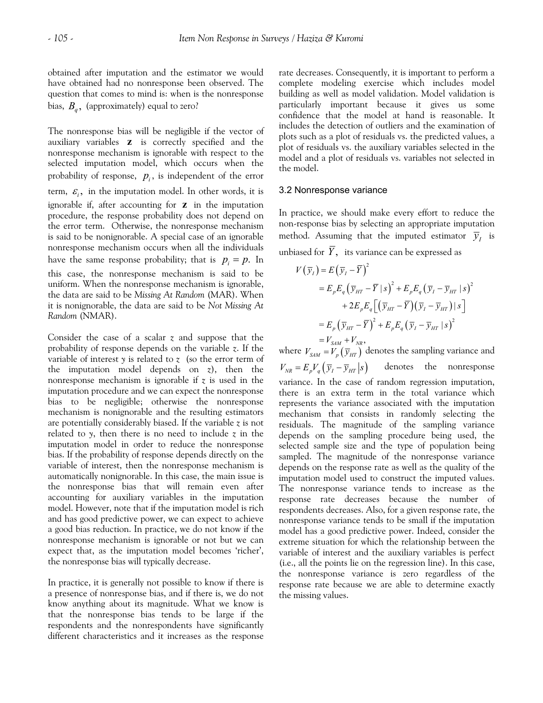obtained after imputation and the estimator we would have obtained had no nonresponse been observed. The question that comes to mind is: when is the nonresponse bias,  $B_q$ , (approximately) equal to zero?

The nonresponse bias will be negligible if the vector of auxiliary variables **z** is correctly specified and the nonresponse mechanism is ignorable with respect to the selected imputation model, which occurs when the probability of response,  $p_i$ , is independent of the error term,  $\varepsilon$ <sub>i</sub>, in the imputation model. In other words, it is ignorable if, after accounting for **z** in the imputation procedure, the response probability does not depend on the error term. Otherwise, the nonresponse mechanism is said to be nonignorable. A special case of an ignorable nonresponse mechanism occurs when all the individuals have the same response probability; that is  $p_i = p$ . In this case, the nonresponse mechanism is said to be uniform. When the nonresponse mechanism is ignorable, the data are said to be *Missing At Random* (MAR). When it is nonignorable, the data are said to be *Not Missing At Random* (NMAR).

Consider the case of a scalar *z* and suppose that the probability of response depends on the variable *z*. If the variable of interest *y* is related to *z* (so the error term of the imputation model depends on *z*), then the nonresponse mechanism is ignorable if *z* is used in the imputation procedure and we can expect the nonresponse bias to be negligible; otherwise the nonresponse mechanism is nonignorable and the resulting estimators are potentially considerably biased. If the variable *z* is not related to  $y$ , then there is no need to include  $z$  in the imputation model in order to reduce the nonresponse bias. If the probability of response depends directly on the variable of interest, then the nonresponse mechanism is automatically nonignorable. In this case, the main issue is the nonresponse bias that will remain even after accounting for auxiliary variables in the imputation model. However, note that if the imputation model is rich and has good predictive power, we can expect to achieve a good bias reduction. In practice, we do not know if the nonresponse mechanism is ignorable or not but we can expect that, as the imputation model becomes 'richer', the nonresponse bias will typically decrease.

In practice, it is generally not possible to know if there is a presence of nonresponse bias, and if there is, we do not know anything about its magnitude. What we know is that the nonresponse bias tends to be large if the respondents and the nonrespondents have significantly different characteristics and it increases as the response rate decreases. Consequently, it is important to perform a complete modeling exercise which includes model building as well as model validation. Model validation is particularly important because it gives us some confidence that the model at hand is reasonable. It includes the detection of outliers and the examination of plots such as a plot of residuals vs. the predicted values, a plot of residuals vs. the auxiliary variables selected in the model and a plot of residuals vs. variables not selected in the model.

#### 3.2 Nonresponse variance

In practice, we should make every effort to reduce the non-response bias by selecting an appropriate imputation method. Assuming that the imputed estimator  $\overline{y}_t$  is unbiased for  $\overline{Y}$ , its variance can be expressed as

$$
V(\overline{y}_I) = E(\overline{y}_I - \overline{Y})^2
$$
  
=  $E_p E_q (\overline{y}_{HT} - \overline{Y} | s)^2 + E_p E_q (\overline{y}_I - \overline{y}_{HT} | s)^2$   
+  $2E_p E_q [(\overline{y}_{HT} - \overline{Y})(\overline{y}_I - \overline{y}_{HT}) | s]$   
=  $E_p (\overline{y}_{HT} - \overline{Y})^2 + E_p E_q (\overline{y}_I - \overline{y}_{HT} | s)^2$   
=  $V_{SAM} + V_{NR}$ ,

where  $V_{SAM} = V_p \left( \overline{y}_{HT} \right)$  denotes the sampling variance and  $V_{NR} = E_p V_q \left( \overline{y}_I - \overline{y}_{HT} \right| s$  denotes the nonresponse variance. In the case of random regression imputation, there is an extra term in the total variance which represents the variance associated with the imputation mechanism that consists in randomly selecting the residuals. The magnitude of the sampling variance depends on the sampling procedure being used, the selected sample size and the type of population being sampled. The magnitude of the nonresponse variance depends on the response rate as well as the quality of the imputation model used to construct the imputed values. The nonresponse variance tends to increase as the response rate decreases because the number of respondents decreases. Also, for a given response rate, the nonresponse variance tends to be small if the imputation model has a good predictive power. Indeed, consider the extreme situation for which the relationship between the variable of interest and the auxiliary variables is perfect (i.e., all the points lie on the regression line). In this case, the nonresponse variance is zero regardless of the response rate because we are able to determine exactly the missing values.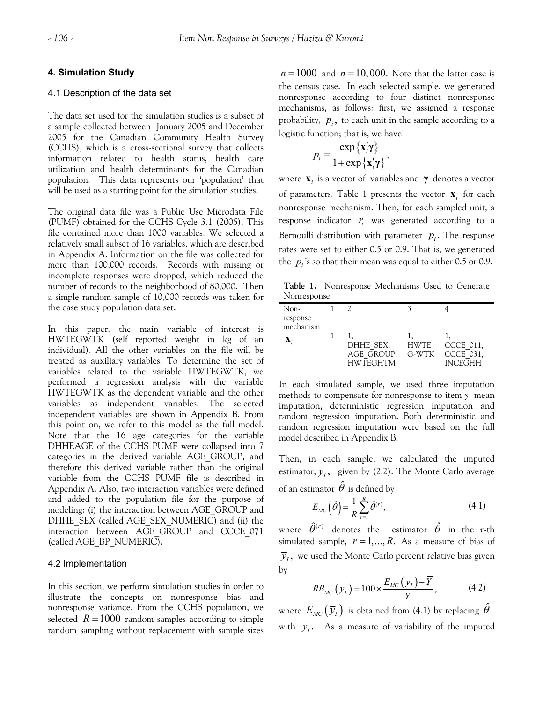## **4. Simulation Study**

#### 4.1 Description of the data set

The data set used for the simulation studies is a subset of a sample collected between January 2005 and December 2005 for the Canadian Community Health Survey (CCHS), which is a cross-sectional survey that collects information related to health status, health care utilization and health determinants for the Canadian population. This data represents our 'population' that will be used as a starting point for the simulation studies.

The original data file was a Public Use Microdata File (PUMF) obtained for the CCHS Cycle 3.1 (2005). This file contained more than 1000 variables. We selected a relatively small subset of 16 variables, which are described in Appendix A. Information on the file was collected for more than 100,000 records. Records with missing or incomplete responses were dropped, which reduced the number of records to the neighborhood of 80,000. Then a simple random sample of 10,000 records was taken for the case study population data set.

In this paper, the main variable of interest is HWTEGWTK (self reported weight in kg of an individual). All the other variables on the file will be treated as auxiliary variables. To determine the set of variables related to the variable HWTEGWTK, we performed a regression analysis with the variable HWTEGWTK as the dependent variable and the other variables as independent variables. The selected independent variables are shown in Appendix B. From this point on, we refer to this model as the full model. Note that the 16 age categories for the variable DHHEAGE of the CCHS PUMF were collapsed into 7 categories in the derived variable AGE\_GROUP, and therefore this derived variable rather than the original variable from the CCHS PUMF file is described in Appendix A. Also, two interaction variables were defined and added to the population file for the purpose of modeling: (i) the interaction between AGE\_GROUP and DHHE\_SEX (called AGE\_SEX\_NUMERIC) and (ii) the interaction between AGE\_GROUP and CCCE\_071 (called AGE\_BP\_NUMERIC).

#### 4.2 Implementation

In this section, we perform simulation studies in order to illustrate the concepts on nonresponse bias and nonresponse variance. From the CCHS population, we selected  $R = 1000$  random samples according to simple random sampling without replacement with sample sizes

 $n = 1000$  and  $n = 10,000$ . Note that the latter case is the census case. In each selected sample, we generated nonresponse according to four distinct nonresponse mechanisms, as follows: first, we assigned a response probability,  $p_i$ , to each unit in the sample according to a logistic function; that is, we have

$$
p_i = \frac{\exp\{\mathbf{x}_i'\mathbf{y}\}}{1 + \exp\{\mathbf{x}_i'\mathbf{y}\}},
$$

where  $\mathbf{x}_i$  is a vector of variables and  $\gamma$  denotes a vector of parameters. Table 1 presents the vector  $\mathbf{x}_i$  for each nonresponse mechanism. Then, for each sampled unit, a response indicator  $r_i$  was generated according to a Bernoulli distribution with parameter  $p_i$ . The response rates were set to either 0.5 or 0.9. That is, we generated the  $p_i$ 's so that their mean was equal to either 0.5 or 0.9.

**Table 1.** Nonresponse Mechanisms Used to Generate Nonresponse

| Non-        |                 |       |                |
|-------------|-----------------|-------|----------------|
| response    |                 |       |                |
| mechanism   |                 |       |                |
| $\mathbf X$ |                 |       |                |
|             | DHHE SEX,       | HWTE  | CCCE 011,      |
|             | AGE GROUP,      | G-WTK | CCCE 031,      |
|             | <b>HWTEGHTM</b> |       | <b>INCEGHH</b> |

In each simulated sample, we used three imputation methods to compensate for nonresponse to item *y*: mean imputation, deterministic regression imputation and random regression imputation. Both deterministic and random regression imputation were based on the full model described in Appendix B.

Then, in each sample, we calculated the imputed estimator,  $\overline{y}_i$ , given by (2.2). The Monte Carlo average of an estimator  $\hat{\theta}$  is defined by

$$
E_{MC}\left(\hat{\theta}\right) = \frac{1}{R} \sum_{r=1}^{R} \hat{\theta}^{(r)},\tag{4.1}
$$

where  $\hat{\theta}^{(r)}$  denotes the estimator  $\hat{\theta}$  in the *r*-th simulated sample,  $r = 1, ..., R$ . As a measure of bias of  $\overline{y}_I$ , we used the Monte Carlo percent relative bias given by

$$
RB_{MC}\left(\overline{y}_I\right) = 100 \times \frac{E_{MC}\left(\overline{y}_I\right) - \overline{Y}}{\overline{Y}},\tag{4.2}
$$

where  $E_{MC}(\bar{y}_I)$  is obtained from (4.1) by replacing  $\hat{\theta}$ with  $\overline{y}_i$ . As a measure of variability of the imputed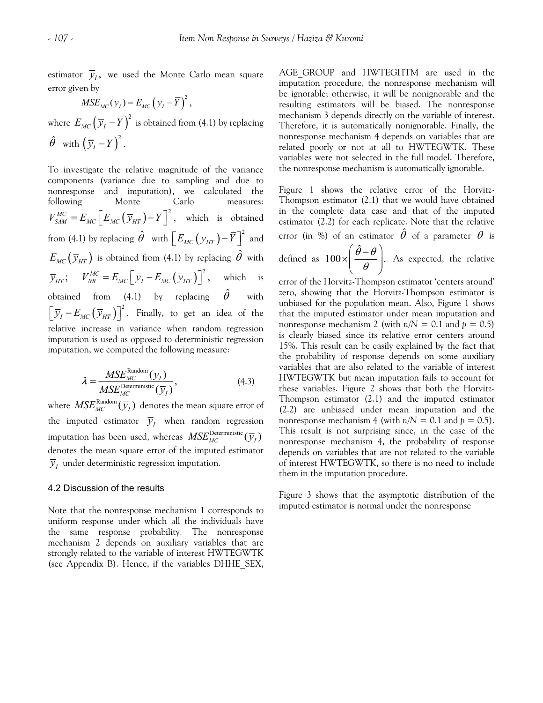estimator  $\overline{y}_l$ , we used the Monte Carlo mean square error given by

 $MSE_{MC}(\overline{y}_I) = E_{MC}(\overline{y}_I - \overline{Y})^2$ ,

where  $E_{MC} \left(\overline y_I - \overline Y\right)^2$  is obtained from (4.1) by replacing  $\hat{\theta}$  with  $(\bar{y}_I - \bar{Y})^2$ .

To investigate the relative magnitude of the variance components (variance due to sampling and due to nonresponse and imputation), we calculated the following Monte Carlo measures:  $V_{SAM}^{MC} = E_{MC} \left[ E_{MC} \left( \overline{\mathcal{Y}}_{HT} \right) - \overline{Y} \right]^2$ , which is obtained from (4.1) by replacing  $\hat{\theta}$  with  $\left[ E_{_{MC}} \left( \overline{y}_{_{HI}} \right) - \overline{Y} \right]^2$  and  $E_{MC}(\bar{y}_{HT})$  is obtained from (4.1) by replacing  $\hat{\theta}$  with  $\overline{y}_{HT}$ ;  $V_{NR}^{MC} = E_{MC} \left[ \overline{y}_I - E_{MC} (\overline{y}_{HT}) \right]^2$ , which is obtained from (4.1) by replacing  $\hat{\theta}$  with  $\left[\overline{y}_I - E_{MC}(\overline{y}_{HT})\right]^2$ . Finally, to get an idea of the relative increase in variance when random regression imputation is used as opposed to deterministic regression imputation, we computed the following measure:

$$
\lambda = \frac{MSE_{MC}^{\text{Random}}(\overline{y}_I)}{MSE_{MC}^{\text{Deterministic}}(\overline{y}_I)},
$$
\n(4.3)

where  $MSE_{MC}^{\text{Random}}(\bar{y}_I)$  denotes the mean square error of the imputed estimator  $\overline{y}_I$  when random regression imputation has been used, whereas  $MSE_{MC}^{\text{Deterministic}}(\overline{y}_I)$ denotes the mean square error of the imputed estimator  $\bar{y}_I$  under deterministic regression imputation.

## 4.2 Discussion of the results

Note that the nonresponse mechanism 1 corresponds to uniform response under which all the individuals have the same response probability. The nonresponse mechanism 2 depends on auxiliary variables that are strongly related to the variable of interest HWTEGWTK (see Appendix B). Hence, if the variables DHHE\_SEX, AGE GROUP and HWTEGHTM are used in the imputation procedure, the nonresponse mechanism will be ignorable; otherwise, it will be nonignorable and the resulting estimators will be biased. The nonresponse mechanism 3 depends directly on the variable of interest. Therefore, it is automatically nonignorable. Finally, the nonresponse mechanism 4 depends on variables that are related poorly or not at all to HWTEGWTK. These variables were not selected in the full model. Therefore, the nonresponse mechanism is automatically ignorable.

Figure 1 shows the relative error of the Horvitz-Thompson estimator (2.1) that we would have obtained in the complete data case and that of the imputed estimator (2.2) for each replicate. Note that the relative error (in %) of an estimator  $\hat{\theta}$  of a parameter  $\theta$  is defined as  $100 \times \left(\frac{\hat{\theta} - \theta}{\theta}\right)$ . As expected, the relative

error of the Horvitz-Thompson estimator 'centers around' zero, showing that the Horvitz-Thompson estimator is unbiased for the population mean. Also, Figure 1 shows that the imputed estimator under mean imputation and nonresponse mechanism 2 (with  $n/N = 0.1$  and  $p = 0.5$ ) is clearly biased since its relative error centers around 15%. This result can be easily explained by the fact that the probability of response depends on some auxiliary variables that are also related to the variable of interest HWTEGWTK but mean imputation fails to account for these variables. Figure 2 shows that both the Horvitz-Thompson estimator (2.1) and the imputed estimator (2.2) are unbiased under mean imputation and the nonresponse mechanism 4 (with  $n/N = 0.1$  and  $p = 0.5$ ). This result is not surprising since, in the case of the nonresponse mechanism 4, the probability of response depends on variables that are not related to the variable of interest HWTEGWTK, so there is no need to include them in the imputation procedure.

Figure 3 shows that the asymptotic distribution of the imputed estimator is normal under the nonresponse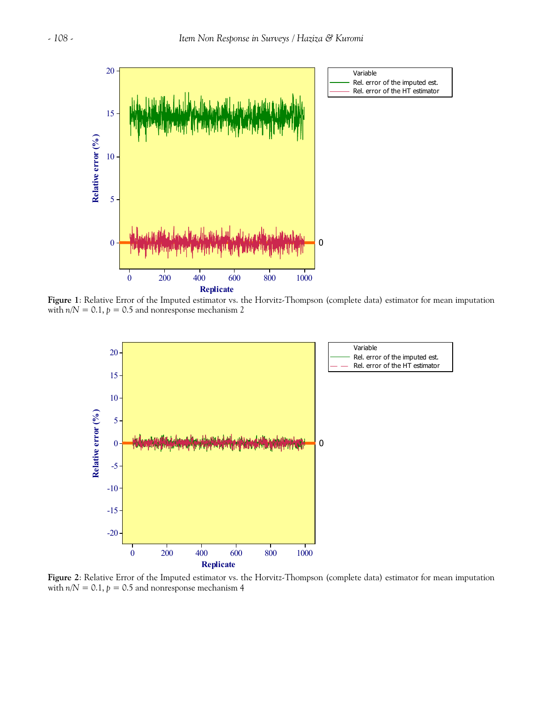

**Figure 1**: Relative Error of the Imputed estimator vs. the Horvitz-Thompson (complete data) estimator for mean imputation with  $n/N = 0.1$ ,  $p = 0.5$  and nonresponse mechanism 2



**Figure 2**: Relative Error of the Imputed estimator vs. the Horvitz-Thompson (complete data) estimator for mean imputation with  $n/N = 0.1$ ,  $p = 0.5$  and nonresponse mechanism 4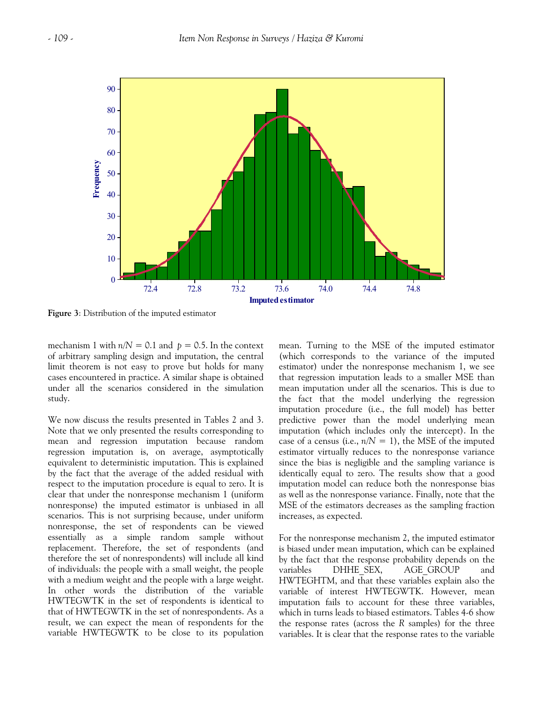

**Figure 3**: Distribution of the imputed estimator

mechanism 1 with  $n/N = 0.1$  and  $p = 0.5$ . In the context of arbitrary sampling design and imputation, the central limit theorem is not easy to prove but holds for many cases encountered in practice. A similar shape is obtained under all the scenarios considered in the simulation study.

We now discuss the results presented in Tables 2 and 3. Note that we only presented the results corresponding to mean and regression imputation because random regression imputation is, on average, asymptotically equivalent to deterministic imputation. This is explained by the fact that the average of the added residual with respect to the imputation procedure is equal to zero. It is clear that under the nonresponse mechanism 1 (uniform nonresponse) the imputed estimator is unbiased in all scenarios. This is not surprising because, under uniform nonresponse, the set of respondents can be viewed essentially as a simple random sample without replacement. Therefore, the set of respondents (and therefore the set of nonrespondents) will include all kind of individuals: the people with a small weight, the people with a medium weight and the people with a large weight. In other words the distribution of the variable HWTEGWTK in the set of respondents is identical to that of HWTEGWTK in the set of nonrespondents. As a result, we can expect the mean of respondents for the variable HWTEGWTK to be close to its population

mean. Turning to the MSE of the imputed estimator (which corresponds to the variance of the imputed estimator) under the nonresponse mechanism 1, we see that regression imputation leads to a smaller MSE than mean imputation under all the scenarios. This is due to the fact that the model underlying the regression imputation procedure (i.e., the full model) has better predictive power than the model underlying mean imputation (which includes only the intercept). In the case of a census (i.e.,  $n/N = 1$ ), the MSE of the imputed estimator virtually reduces to the nonresponse variance since the bias is negligible and the sampling variance is identically equal to zero. The results show that a good imputation model can reduce both the nonresponse bias as well as the nonresponse variance. Finally, note that the MSE of the estimators decreases as the sampling fraction increases, as expected.

For the nonresponse mechanism 2, the imputed estimator is biased under mean imputation, which can be explained by the fact that the response probability depends on the variables DHHE\_SEX, AGE\_GROUP and HWTEGHTM, and that these variables explain also the variable of interest HWTEGWTK. However, mean imputation fails to account for these three variables, which in turns leads to biased estimators. Tables 4-6 show the response rates (across the *R* samples) for the three variables. It is clear that the response rates to the variable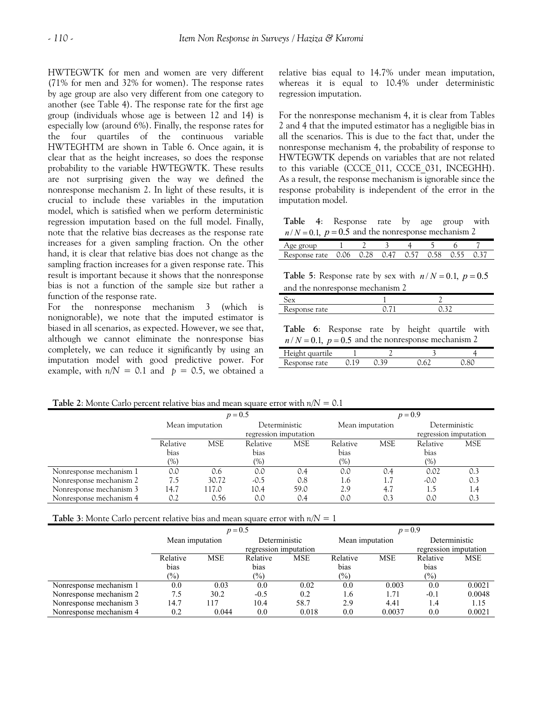HWTEGWTK for men and women are very different (71% for men and 32% for women). The response rates by age group are also very different from one category to another (see Table 4). The response rate for the first age group (individuals whose age is between 12 and 14) is especially low (around 6%). Finally, the response rates for the four quartiles of the continuous variable HWTEGHTM are shown in Table 6. Once again, it is clear that as the height increases, so does the response probability to the variable HWTEGWTK. These results are not surprising given the way we defined the nonresponse mechanism 2. In light of these results, it is crucial to include these variables in the imputation model, which is satisfied when we perform deterministic regression imputation based on the full model. Finally, note that the relative bias decreases as the response rate increases for a given sampling fraction. On the other hand, it is clear that relative bias does not change as the sampling fraction increases for a given response rate. This result is important because it shows that the nonresponse bias is not a function of the sample size but rather a function of the response rate.

For the nonresponse mechanism 3 (which is nonignorable), we note that the imputed estimator is biased in all scenarios, as expected. However, we see that, although we cannot eliminate the nonresponse bias completely, we can reduce it significantly by using an imputation model with good predictive power. For example, with  $n/N = 0.1$  and  $p = 0.5$ , we obtained a

relative bias equal to 14.7% under mean imputation, whereas it is equal to 10.4% under deterministic regression imputation.

For the nonresponse mechanism 4, it is clear from Tables 2 and 4 that the imputed estimator has a negligible bias in all the scenarios. This is due to the fact that, under the nonresponse mechanism 4, the probability of response to HWTEGWTK depends on variables that are not related to this variable (CCCE\_011, CCCE\_031, INCEGHH). As a result, the response mechanism is ignorable since the response probability is independent of the error in the imputation model.

 $n/N = 0.1$ ,  $p = 0.5$  and the nonresponse mechanism 2 **Table 4**: Response rate by age group with

| $\sim$ gives |      |      |      |              |  |  |
|--------------|------|------|------|--------------|--|--|
| onse rate.   | 0.06 | 0.28 | ነ 47 | $\bigcap$ 57 |  |  |

**Table 5**: Response rate by sex with  $n/N = 0.1$ ,  $p = 0.5$ and the nonresponse mechanism 2

| $t_{\rm P}$<br>$\sim$<br>ື້<br>$\tilde{}$<br>$-1.1$<br>◡ |  |  |
|----------------------------------------------------------|--|--|
|                                                          |  |  |

**Table 6**: Response rate by height quartile with  $n/N = 0.1$ ,  $p = 0.5$  and the nonresponse mechanism 2

| umun<br>111<br>.    |  |  |
|---------------------|--|--|
| $\sim$<br>$\ddotsc$ |  |  |

**Table 2**: Monte Carlo percent relative bias and mean square error with *n/N =* 0.1

|                         |                 |            | $p = 0.5$             |            | $p = 0.9$       |            |                       |            |  |
|-------------------------|-----------------|------------|-----------------------|------------|-----------------|------------|-----------------------|------------|--|
|                         | Mean imputation |            | Deterministic         |            | Mean imputation |            | Deterministic         |            |  |
|                         |                 |            | regression imputation |            |                 |            | regression imputation |            |  |
|                         | Relative        | <b>MSE</b> | Relative              | <b>MSE</b> | Relative        | <b>MSE</b> | Relative              | <b>MSE</b> |  |
|                         | bias            |            | bias                  |            | bias            |            | bias                  |            |  |
|                         | $(\%)$          |            | $(\%)$                |            | $(\%)$          |            | $(\%)$                |            |  |
| Nonresponse mechanism 1 | 0.0             | 0.6        | 0.0                   | 0.4        | 0.0             | 0.4        | 0.02                  | 0.3        |  |
| Nonresponse mechanism 2 | כ./             | 30.72      | $-0.5$                | 0.8        | 1.6             |            | $-0.0$                | 0.3        |  |
| Nonresponse mechanism 3 | 14.7            | 117.0      | 10.4                  | 59.0       | 2.9             | 4.7        | 1.5                   | 1.4        |  |
| Nonresponse mechanism 4 | 0.2             | 0.56       | 0.0                   | 0.4        | 0.0             |            | 0.0                   | 0.3        |  |

**Table 3**: Monte Carlo percent relative bias and mean square error with  $n/N = 1$ 

|                         |                 | $p = 0.5$  |                       |            | $p = 0.9$       |            |                       |            |  |
|-------------------------|-----------------|------------|-----------------------|------------|-----------------|------------|-----------------------|------------|--|
|                         | Mean imputation |            | Deterministic         |            | Mean imputation |            | Deterministic         |            |  |
|                         |                 |            | regression imputation |            |                 |            | regression imputation |            |  |
|                         | Relative        | <b>MSE</b> | Relative              | <b>MSE</b> | Relative        | <b>MSE</b> | Relative              | <b>MSE</b> |  |
|                         | bias            |            | bias                  |            | bias            |            | bias                  |            |  |
|                         | $(\%)$          |            | $\frac{1}{2}$         |            | $\frac{9}{0}$   |            | $(\%)$                |            |  |
| Nonresponse mechanism 1 | 0.0             | 0.03       | 0.0                   | 0.02       | 0.0             | 0.003      | 0.0                   | 0.0021     |  |
| Nonresponse mechanism 2 | 7.5             | 30.2       | $-0.5$                | 0.2        | 1.6             | 1.71       | $-0.1$                | 0.0048     |  |
| Nonresponse mechanism 3 | 14.7            | 117        | 10.4                  | 58.7       | 2.9             | 4.41       | 1.4                   | 1.15       |  |
| Nonresponse mechanism 4 | 0.2             | 0.044      | 0.0                   | 0.018      | 0.0             | 0.0037     | 0.0                   | 0.0021     |  |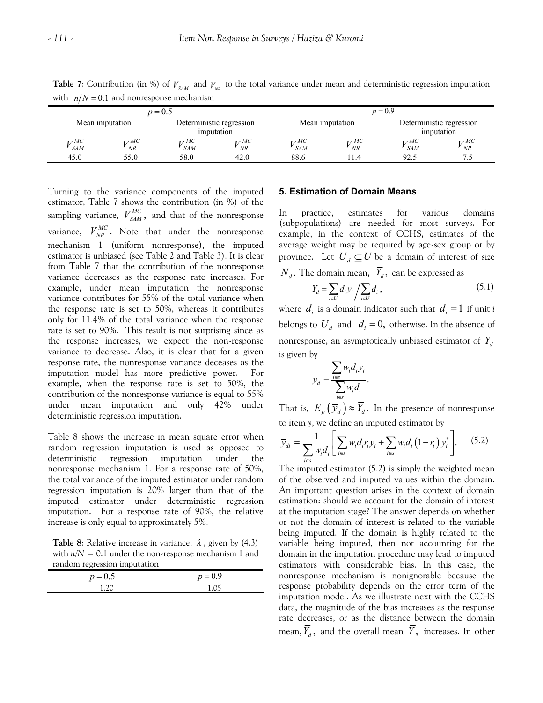| $\cdots$                   | - - -           |                                 |                                        |                          |                           |                                   |                          |
|----------------------------|-----------------|---------------------------------|----------------------------------------|--------------------------|---------------------------|-----------------------------------|--------------------------|
|                            |                 | $p = 0.5$                       |                                        |                          |                           | $p = 0.9$                         |                          |
|                            | Mean imputation |                                 | Deterministic regression<br>imputation | Mean imputation          |                           | imputation                        | Deterministic regression |
| $L^{\tau}MC$<br><b>SAM</b> | 7 MC<br>NR      | $\mathbf{r}$ r MC<br><b>SAM</b> | т <i>т</i> МС<br>NR                    | $\tau M C$<br><b>SAM</b> | $\mathbf{r}$ r $MC$<br>NR | $\mathbf{r}$ r $MC$<br><b>SAM</b> | r 7 MC<br>NR             |
| 45.0                       |                 | 58.0                            | 42.0                                   | 88.6                     |                           | 92.5                              | ت .                      |

**Table 7**: Contribution (in %) of  $V_{SM}$  and  $V_{NR}$  to the total variance under mean and deterministic regression imputation with  $n/N = 0.1$  and nonresponse mechanism

Turning to the variance components of the imputed estimator, Table 7 shows the contribution (in %) of the sampling variance,  $V_{SAM}^{MC}$ , and that of the nonresponse variance,  $V_{NR}^{MC}$ . Note that under the nonresponse mechanism 1 (uniform nonresponse), the imputed estimator is unbiased (see Table 2 and Table 3). It is clear from Table 7 that the contribution of the nonresponse variance decreases as the response rate increases. For example, under mean imputation the nonresponse variance contributes for 55% of the total variance when the response rate is set to 50%, whereas it contributes only for 11.4% of the total variance when the response rate is set to 90%. This result is not surprising since as the response increases, we expect the non-response variance to decrease. Also, it is clear that for a given response rate, the nonresponse variance deceases as the imputation model has more predictive power. For example, when the response rate is set to 50%, the contribution of the nonresponse variance is equal to 55% under mean imputation and only 42% under deterministic regression imputation.

Table 8 shows the increase in mean square error when random regression imputation is used as opposed to deterministic regression imputation under the nonresponse mechanism 1. For a response rate of 50%, the total variance of the imputed estimator under random regression imputation is 20% larger than that of the imputed estimator under deterministic regression imputation. For a response rate of 90%, the relative increase is only equal to approximately 5%.

**Table 8:** Relative increase in variance,  $\lambda$ , given by (4.3) with  $n/N = 0.1$  under the non-response mechanism 1 and random regression imputation

| ◠       |           |
|---------|-----------|
| $= 0.5$ | $p = 0.9$ |
| ר כ     |           |

### **5. Estimation of Domain Means**

In practice, estimates for various domains (subpopulations) are needed for most surveys. For example, in the context of CCHS, estimates of the average weight may be required by age-sex group or by province. Let  $U_d \subseteq U$  be a domain of interest of size  $N_d$ . The domain mean,  $\bar{Y}_d$ , can be expressed as

$$
\overline{Y}_d = \sum_{i \in U} d_i y_i / \sum_{i \in U} d_i , \qquad (5.1)
$$

where  $d_i$  is a domain indicator such that  $d_i = 1$  if unit *i* belongs to  $U_d$  and  $d_i = 0$ , otherwise. In the absence of nonresponse, an asymptotically unbiased estimator of  $Y_d$ is given by

$$
\overline{y}_d = \frac{\sum_{i \in S} w_i d_i y_i}{\sum_{i \in S} w_i d_i}.
$$

That is,  $E_p(\bar{y}_d) \approx \bar{Y}_d$ . In the presence of nonresponse to item *y*, we define an imputed estimator by

$$
\overline{y}_{dl} = \frac{1}{\sum_{i \in S} w_i d_i} \left[ \sum_{i \in S} w_i d_i r_i y_i + \sum_{i \in S} w_i d_i (1 - r_i) y_i^* \right]. \tag{5.2}
$$

The imputed estimator (5.2) is simply the weighted mean of the observed and imputed values within the domain. An important question arises in the context of domain estimation: should we account for the domain of interest at the imputation stage? The answer depends on whether or not the domain of interest is related to the variable being imputed. If the domain is highly related to the variable being imputed, then not accounting for the domain in the imputation procedure may lead to imputed estimators with considerable bias. In this case, the nonresponse mechanism is nonignorable because the response probability depends on the error term of the imputation model. As we illustrate next with the CCHS data, the magnitude of the bias increases as the response rate decreases, or as the distance between the domain mean,  $\overline{Y}_d$ , and the overall mean  $\overline{Y}_d$ , increases. In other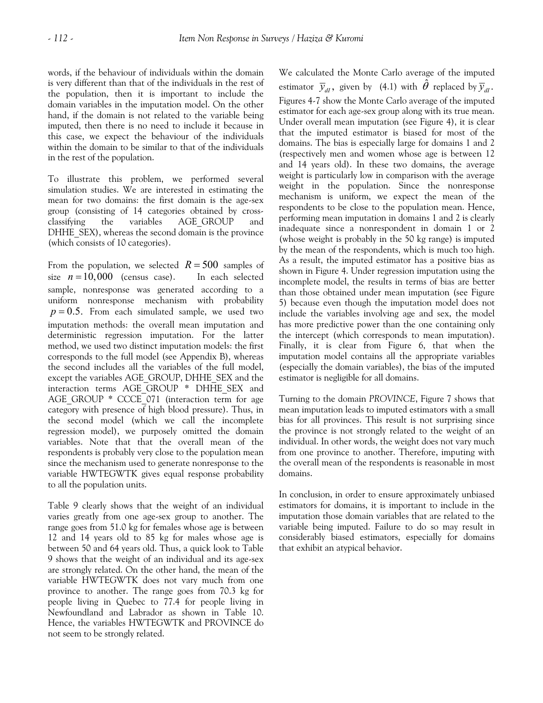words, if the behaviour of individuals within the domain is very different than that of the individuals in the rest of the population, then it is important to include the domain variables in the imputation model. On the other hand, if the domain is not related to the variable being imputed, then there is no need to include it because in this case, we expect the behaviour of the individuals within the domain to be similar to that of the individuals in the rest of the population.

To illustrate this problem, we performed several simulation studies. We are interested in estimating the mean for two domains: the first domain is the age-sex group (consisting of 14 categories obtained by crossclassifying the variables AGE\_GROUP and DHHE\_SEX), whereas the second domain is the province (which consists of 10 categories).

From the population, we selected  $R = 500$  samples of size  $n = 10,000$  (census case). In each selected sample, nonresponse was generated according to a uniform nonresponse mechanism with probability  $p = 0.5$ . From each simulated sample, we used two imputation methods: the overall mean imputation and deterministic regression imputation. For the latter method, we used two distinct imputation models: the first corresponds to the full model (see Appendix B), whereas the second includes all the variables of the full model, except the variables AGE\_GROUP, DHHE\_SEX and the interaction terms AGE GROUP \* DHHE SEX and AGE\_GROUP \* CCCE\_071 (interaction term for age category with presence of high blood pressure). Thus, in the second model (which we call the incomplete regression model), we purposely omitted the domain variables. Note that that the overall mean of the respondents is probably very close to the population mean since the mechanism used to generate nonresponse to the variable HWTEGWTK gives equal response probability to all the population units.

Table 9 clearly shows that the weight of an individual varies greatly from one age-sex group to another. The range goes from 51.0 kg for females whose age is between 12 and 14 years old to 85 kg for males whose age is between 50 and 64 years old. Thus, a quick look to Table 9 shows that the weight of an individual and its age-sex are strongly related. On the other hand, the mean of the variable HWTEGWTK does not vary much from one province to another. The range goes from 70.3 kg for people living in Quebec to 77.4 for people living in Newfoundland and Labrador as shown in Table 10. Hence, the variables HWTEGWTK and PROVINCE do not seem to be strongly related.

We calculated the Monte Carlo average of the imputed estimator  $\bar{y}_{dI}$ , given by (4.1) with  $\hat{\theta}$  replaced by  $\bar{y}_{dI}$ . Figures 4-7 show the Monte Carlo average of the imputed estimator for each age-sex group along with its true mean. Under overall mean imputation (see Figure 4), it is clear that the imputed estimator is biased for most of the domains. The bias is especially large for domains 1 and 2 (respectively men and women whose age is between 12 and 14 years old). In these two domains, the average weight is particularly low in comparison with the average weight in the population. Since the nonresponse mechanism is uniform, we expect the mean of the respondents to be close to the population mean. Hence, performing mean imputation in domains 1 and 2 is clearly inadequate since a nonrespondent in domain 1 or 2 (whose weight is probably in the 50 kg range) is imputed by the mean of the respondents, which is much too high. As a result, the imputed estimator has a positive bias as shown in Figure 4. Under regression imputation using the incomplete model, the results in terms of bias are better than those obtained under mean imputation (see Figure 5) because even though the imputation model does not include the variables involving age and sex, the model has more predictive power than the one containing only the intercept (which corresponds to mean imputation). Finally, it is clear from Figure 6, that when the imputation model contains all the appropriate variables (especially the domain variables), the bias of the imputed estimator is negligible for all domains.

Turning to the domain *PROVINCE*, Figure 7 shows that mean imputation leads to imputed estimators with a small bias for all provinces. This result is not surprising since the province is not strongly related to the weight of an individual. In other words, the weight does not vary much from one province to another. Therefore, imputing with the overall mean of the respondents is reasonable in most domains.

In conclusion, in order to ensure approximately unbiased estimators for domains, it is important to include in the imputation those domain variables that are related to the variable being imputed. Failure to do so may result in considerably biased estimators, especially for domains that exhibit an atypical behavior.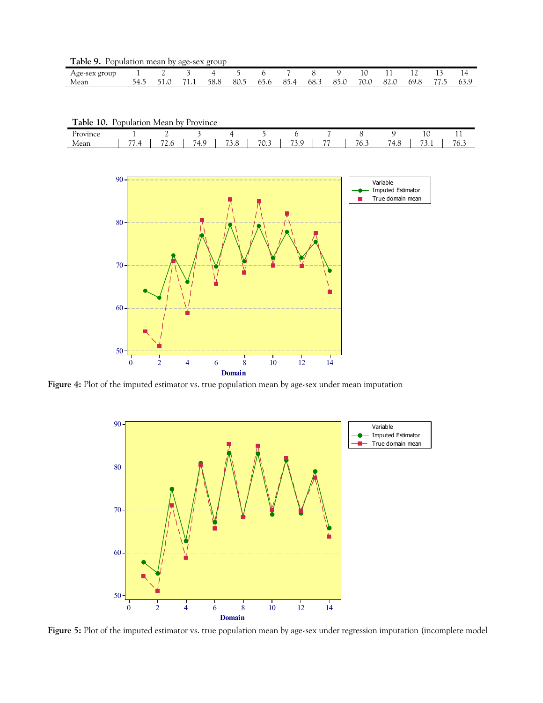**Table 9.** Population mean by age-sex group

| Age-sex<br>group |                       |                  |      |      |                              |      |      |      |      |                |      | <b>. .</b> | $\overline{\phantom{a}}$ |
|------------------|-----------------------|------------------|------|------|------------------------------|------|------|------|------|----------------|------|------------|--------------------------|
| Mear             | ⊾ר<br>$\cdot$ $\cdot$ | 71<br><b>1.1</b> | 58.8 | 80.5 | - <b>-</b><br>65.C<br>$\sim$ | 85.4 | د.68 | 85.0 | 70.1 | $\sim$<br>82.0 | 69.১ | $- -$      | 63.5                     |

| Table 10. Population Mean by Province |
|---------------------------------------|
|---------------------------------------|

| $- -$<br>$- -$<br>$\overline{\phantom{a}}$<br>74.<br>$\overline{\phantom{a}}$<br>$\mathbf{a}$<br>$R \times 2$<br>$\overline{\phantom{a}}$<br>72.0<br>74.8<br>$\sim$<br>$\sim$<br>u | Province |               |     |     |       |      |     |     | $\sim$<br>10 | . .         |
|------------------------------------------------------------------------------------------------------------------------------------------------------------------------------------|----------|---------------|-----|-----|-------|------|-----|-----|--------------|-------------|
|                                                                                                                                                                                    | Mean     | $\sim$ $\sim$ | ٠., | ن.ر | ن. ∪' | د.ر. | ∴0/ | י - | <u>.</u>     | $-1$<br>6.J |



**Figure 4:** Plot of the imputed estimator vs. true population mean by age-sex under mean imputation



**Figure 5:** Plot of the imputed estimator vs. true population mean by age-sex under regression imputation (incomplete model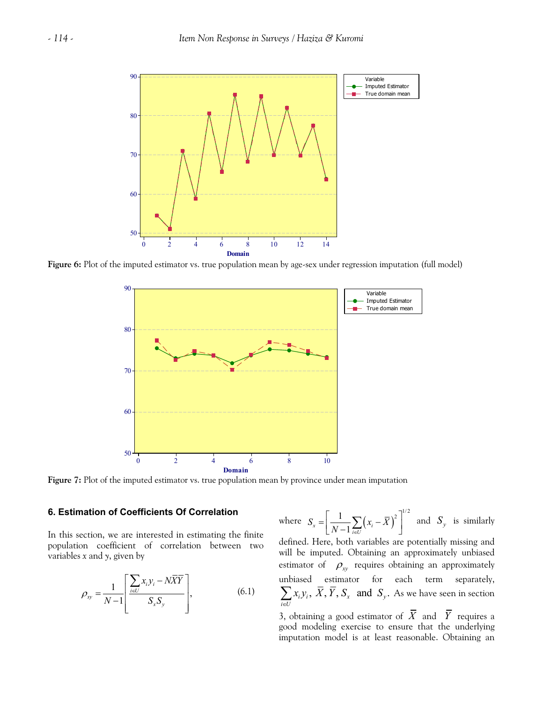

**Figure 6:** Plot of the imputed estimator vs. true population mean by age-sex under regression imputation (full model)



**Figure 7:** Plot of the imputed estimator vs. true population mean by province under mean imputation

## **6. Estimation of Coefficients Of Correlation**

In this section, we are interested in estimating the finite population coefficient of correlation between two variables *x* and *y*, given by

$$
\rho_{xy} = \frac{1}{N-1} \left[ \frac{\sum_{i \in U} x_i y_i - N \overline{X} \overline{Y}}{S_x S_y} \right],
$$
\n(6.1)

where 
$$
S_x = \left[\frac{1}{N-1}\sum_{i \in U} (x_i - \overline{X})^2\right]^{1/2}
$$
 and  $S_y$  is similarly

defined. Here, both variables are potentially missing and will be imputed. Obtaining an approximately unbiased estimator of  $\rho_{xy}$  requires obtaining an approximately unbiased estimator for each term separately,  $\cdot_i$  $y_i$  $i \in U$ *x y*  $\sum_{i\in U} x_i y_i$ ,  $\overline{X}$ ,  $\overline{Y}$ ,  $S_x$  and  $S_y$ . As we have seen in section

3, obtaining a good estimator of  $\overline{X}$  and  $\overline{Y}$  requires a good modeling exercise to ensure that the underlying imputation model is at least reasonable. Obtaining an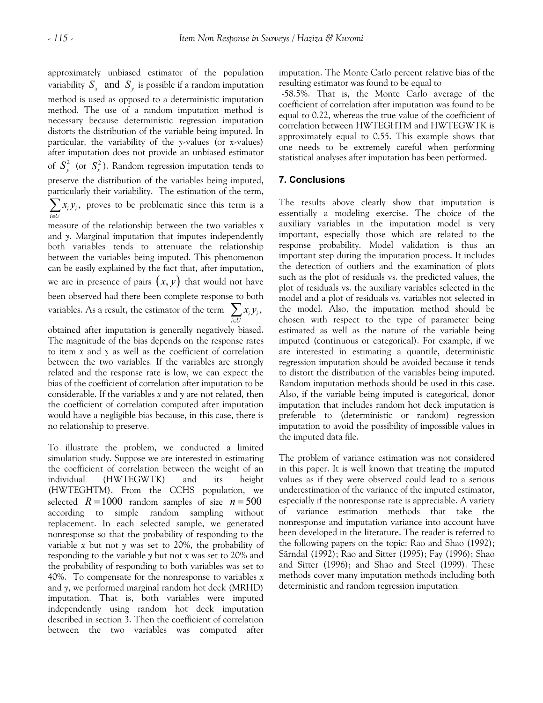approximately unbiased estimator of the population variability  $S_r$  and  $S_v$  is possible if a random imputation method is used as opposed to a deterministic imputation method. The use of a random imputation method is necessary because deterministic regression imputation distorts the distribution of the variable being imputed. In particular, the variability of the *y*-values (or *x*-values) after imputation does not provide an unbiased estimator of  $S_y^2$  (or  $S_x^2$ ). Random regression imputation tends to preserve the distribution of the variables being imputed, particularly their variability. The estimation of the term,  $i y_i$ *i U x y*  $\sum_{i\in U} x_i y_i$ , proves to be problematic since this term is a measure of the relationship between the two variables *x*

and *y*. Marginal imputation that imputes independently both variables tends to attenuate the relationship between the variables being imputed. This phenomenon can be easily explained by the fact that, after imputation, we are in presence of pairs  $(x, y)$  that would not have been observed had there been complete response to both variables. As a result, the estimator of the term  $\sum x_i y_i$ , *i U* ∈

obtained after imputation is generally negatively biased. The magnitude of the bias depends on the response rates to item *x* and *y* as well as the coefficient of correlation between the two variables. If the variables are strongly related and the response rate is low, we can expect the bias of the coefficient of correlation after imputation to be considerable. If the variables *x* and *y* are not related, then the coefficient of correlation computed after imputation would have a negligible bias because, in this case, there is no relationship to preserve.

To illustrate the problem, we conducted a limited simulation study. Suppose we are interested in estimating the coefficient of correlation between the weight of an individual (HWTEGWTK) and its height (HWTEGHTM). From the CCHS population, we selected  $R = 1000$  random samples of size  $n = 500$ according to simple random sampling without replacement. In each selected sample, we generated nonresponse so that the probability of responding to the variable *x* but not *y* was set to 20%, the probability of responding to the variable *y* but not *x* was set to 20% and the probability of responding to both variables was set to 40%. To compensate for the nonresponse to variables *x* and *y*, we performed marginal random hot deck (MRHD) imputation. That is, both variables were imputed independently using random hot deck imputation described in section 3. Then the coefficient of correlation between the two variables was computed after imputation. The Monte Carlo percent relative bias of the resulting estimator was found to be equal to

 -58.5%. That is, the Monte Carlo average of the coefficient of correlation after imputation was found to be equal to 0.22, whereas the true value of the coefficient of correlation between HWTEGHTM and HWTEGWTK is approximately equal to 0.55. This example shows that one needs to be extremely careful when performing statistical analyses after imputation has been performed.

## **7. Conclusions**

The results above clearly show that imputation is essentially a modeling exercise. The choice of the auxiliary variables in the imputation model is very important, especially those which are related to the response probability. Model validation is thus an important step during the imputation process. It includes the detection of outliers and the examination of plots such as the plot of residuals vs. the predicted values, the plot of residuals vs. the auxiliary variables selected in the model and a plot of residuals vs. variables not selected in the model. Also, the imputation method should be chosen with respect to the type of parameter being estimated as well as the nature of the variable being imputed (continuous or categorical). For example, if we are interested in estimating a quantile, deterministic regression imputation should be avoided because it tends to distort the distribution of the variables being imputed. Random imputation methods should be used in this case. Also, if the variable being imputed is categorical, donor imputation that includes random hot deck imputation is preferable to (deterministic or random) regression imputation to avoid the possibility of impossible values in the imputed data file.

The problem of variance estimation was not considered in this paper. It is well known that treating the imputed values as if they were observed could lead to a serious underestimation of the variance of the imputed estimator, especially if the nonresponse rate is appreciable. A variety of variance estimation methods that take the nonresponse and imputation variance into account have been developed in the literature. The reader is referred to the following papers on the topic: Rao and Shao (1992); Särndal (1992); Rao and Sitter (1995); Fay (1996); Shao and Sitter (1996); and Shao and Steel (1999). These methods cover many imputation methods including both deterministic and random regression imputation.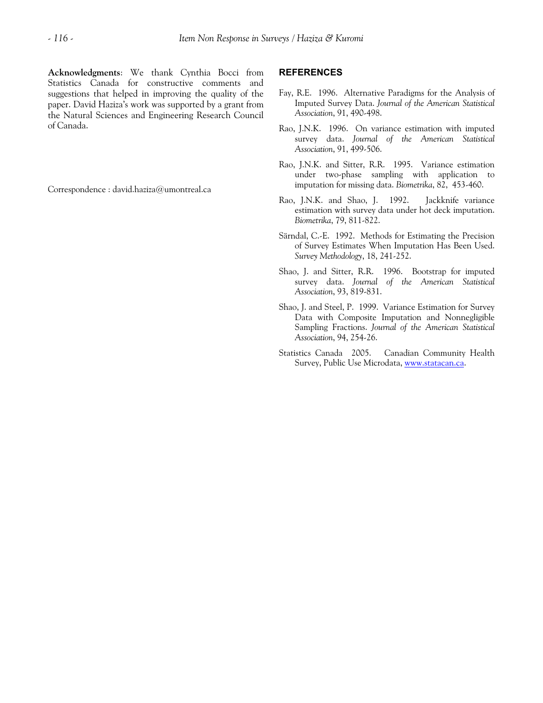Correspondence : david.haziza@umontreal.ca

#### **REFERENCES**

- Fay, R.E. 1996. Alternative Paradigms for the Analysis of Imputed Survey Data. *Journal of the American Statistical Association*, 91, 490-498.
- Rao, J.N.K. 1996. On variance estimation with imputed survey data. *Journal of the American Statistical Association*, 91, 499-506.
- Rao, J.N.K. and Sitter, R.R. 1995. Variance estimation under two-phase sampling with application to imputation for missing data. *Biometrika*, 82, 453-460.
- Rao, J.N.K. and Shao, J. 1992. Jackknife variance estimation with survey data under hot deck imputation. *Biometrika*, 79, 811-822.
- Särndal, C.-E. 1992. Methods for Estimating the Precision of Survey Estimates When Imputation Has Been Used. *Survey Methodology*, 18, 241-252.
- Shao, J. and Sitter, R.R. 1996. Bootstrap for imputed survey data. *Journal of the American Statistical Association*, 93, 819-831.
- Shao, J. and Steel, P. 1999. Variance Estimation for Survey Data with Composite Imputation and Nonnegligible Sampling Fractions. *Journal of the American Statistical Association*, 94, 254-26.
- Statistics Canada 2005. Canadian Community Health Survey, Public Use Microdata, [www.statacan.ca](http://www.statacan.ca/).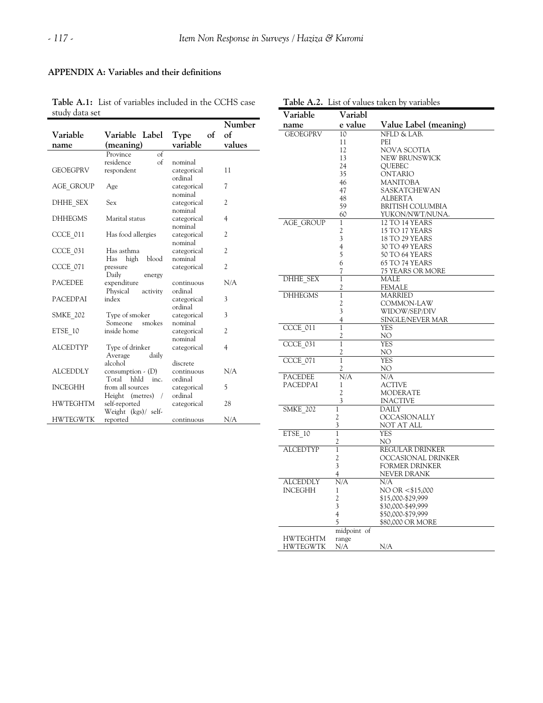## **APPENDIX A: Variables and their definitions**

**Table A.1:** List of variables included in the CCHS case study data set

|                 |                               |             | Number         |
|-----------------|-------------------------------|-------------|----------------|
| Variable        | Variable Label                | Type<br>of  | of             |
| name            | (meaning)                     | variable    | values         |
|                 | $\sigma$ f<br>Province        |             |                |
|                 | $\sigma$<br>residence         | nominal     |                |
| <b>GEOEGPRV</b> | respondent                    | categorical | 11             |
|                 |                               | ordinal     |                |
| AGE GROUP       | Age                           | categorical | 7              |
|                 |                               | nominal     |                |
| DHHE SEX        | Sex                           | categorical | 2              |
|                 |                               | nominal     |                |
| <b>DHHEGMS</b>  | Marital status                | categorical | 4              |
|                 |                               | nominal     |                |
| CCCE 011        | Has food allergies            | categorical | 2              |
|                 |                               | nominal     |                |
| CCCE 031        | Has asthma                    | categorical | 2              |
|                 | blood<br>Has<br>high          | nominal     | 2              |
| CCCE 071        | pressure<br>Daily             | categorical |                |
| <b>PACEDEE</b>  | energy<br>expenditure         | continuous  | N/A            |
|                 | Physical<br>activity          | ordinal     |                |
| <b>PACEDPAI</b> | index                         | categorical | 3              |
|                 |                               | ordinal     |                |
| <b>SMKE 202</b> | Type of smoker                | categorical | 3              |
|                 | Someone<br>smokes             | nominal     |                |
| ETSE 10         | inside home                   | categorical | $\overline{c}$ |
|                 |                               | nominal     |                |
| <b>ALCEDTYP</b> | Type of drinker               | categorical | 4              |
|                 | Average<br>daily              |             |                |
|                 | alcohol                       | discrete    |                |
| <b>ALCEDDLY</b> | consumption $\cdot$ (D)       | continuous  | N/A            |
|                 | Total hhld inc.               | ordinal     |                |
| <b>INCEGHH</b>  | from all sources              | categorical | 5              |
|                 | Height (metres)<br>$\sqrt{2}$ | ordinal     |                |
| <b>HWTEGHTM</b> | self-reported                 | categorical | 28             |
|                 | Weight (kgs)/ self-           |             |                |
| <b>HWTEGWTK</b> | reported                      | continuous  | N/A            |

| Table A.2. List of values taken by variables |                   |                         |  |  |  |
|----------------------------------------------|-------------------|-------------------------|--|--|--|
| Variable                                     | Variabl           |                         |  |  |  |
| name                                         | e value           | Value Label (meaning)   |  |  |  |
| <b>GEOEGPRV</b>                              | 10                | NFLD & LAB.             |  |  |  |
|                                              | 11                | PEI                     |  |  |  |
|                                              | 12                | NOVA SCOTIA             |  |  |  |
|                                              | 13                | NEW BRUNSWICK           |  |  |  |
|                                              | 24                | QUEBEC                  |  |  |  |
|                                              | 35                | ONTARIO                 |  |  |  |
|                                              | 46                | MANITOBA                |  |  |  |
|                                              | 47<br>48          | SASKATCHEWAN<br>ALBERTA |  |  |  |
|                                              | 59                | BRITISH COLUMBIA        |  |  |  |
|                                              | 60                | YUKON/NWT/NUNA.         |  |  |  |
| AGE GROUP                                    | 1                 | 12 TO 14 YEARS          |  |  |  |
|                                              | 2                 | 15 TO 17 YEARS          |  |  |  |
|                                              | 3                 | 18 TO 29 YEARS          |  |  |  |
|                                              | $\overline{4}$    | 30 TO 49 YEARS          |  |  |  |
|                                              | 5                 | 50 TO 64 YEARS          |  |  |  |
|                                              | 6                 | 65 TO 74 YEARS          |  |  |  |
|                                              | 7                 | 75 YEARS OR MORE        |  |  |  |
| DHHE SEX                                     | 1                 | MALE                    |  |  |  |
|                                              | 2                 | FEMALE                  |  |  |  |
| <b>DHHEGMS</b>                               | $\mathbf{1}$      | MARRIED                 |  |  |  |
|                                              | 2                 | COMMON-LAW              |  |  |  |
|                                              | 3                 | WIDOW/SEP/DIV           |  |  |  |
| CCCE 011                                     | 4<br>1            | SINGLE/NEVER MAR<br>YES |  |  |  |
|                                              | 2                 | NO                      |  |  |  |
| CCCE 031                                     | 1                 | YES                     |  |  |  |
|                                              | 2                 | NO                      |  |  |  |
| CCCE 071                                     | $\mathbf{1}$      | YES                     |  |  |  |
|                                              | 2                 | NO                      |  |  |  |
| <b>PACEDEE</b>                               | N/A               | N/A                     |  |  |  |
| PACEDPAI                                     | 1                 | ACTIVE                  |  |  |  |
|                                              | 2                 | MODERATE                |  |  |  |
|                                              | 3                 | <b>INACTIVE</b>         |  |  |  |
| <b>SMKE 202</b>                              | 1                 | DAILY                   |  |  |  |
|                                              | 2                 | <b>OCCASIONALLY</b>     |  |  |  |
|                                              | 3                 | NOT AT ALL              |  |  |  |
| ETSE 10                                      | $\mathbf{1}$      | YES                     |  |  |  |
| <b>ALCEDTYP</b>                              | 2<br>$\mathbf{1}$ | NO<br>REGULAR DRINKER   |  |  |  |
|                                              | $\overline{c}$    | OCCASIONAL DRINKER      |  |  |  |
|                                              | 3                 | <b>FORMER DRINKER</b>   |  |  |  |
|                                              | 4                 | NEVER DRANK             |  |  |  |
| <b>ALCEDDLY</b>                              | N/A               | N/A                     |  |  |  |
| INCEGHH                                      | 1                 | NO OR <\$15,000         |  |  |  |
|                                              | $\overline{c}$    | \$15,000-\$29,999       |  |  |  |
|                                              | 3                 | \$30,000-\$49,999       |  |  |  |
|                                              | $\overline{4}$    | \$50,000-\$79,999       |  |  |  |
|                                              | 5                 | \$80,000 OR MORE        |  |  |  |
|                                              | midpoint of       |                         |  |  |  |
| <b>HWTEGHTM</b>                              | range             |                         |  |  |  |
| HWTEGWTK                                     | N/A               | $N/\underline{A}$       |  |  |  |